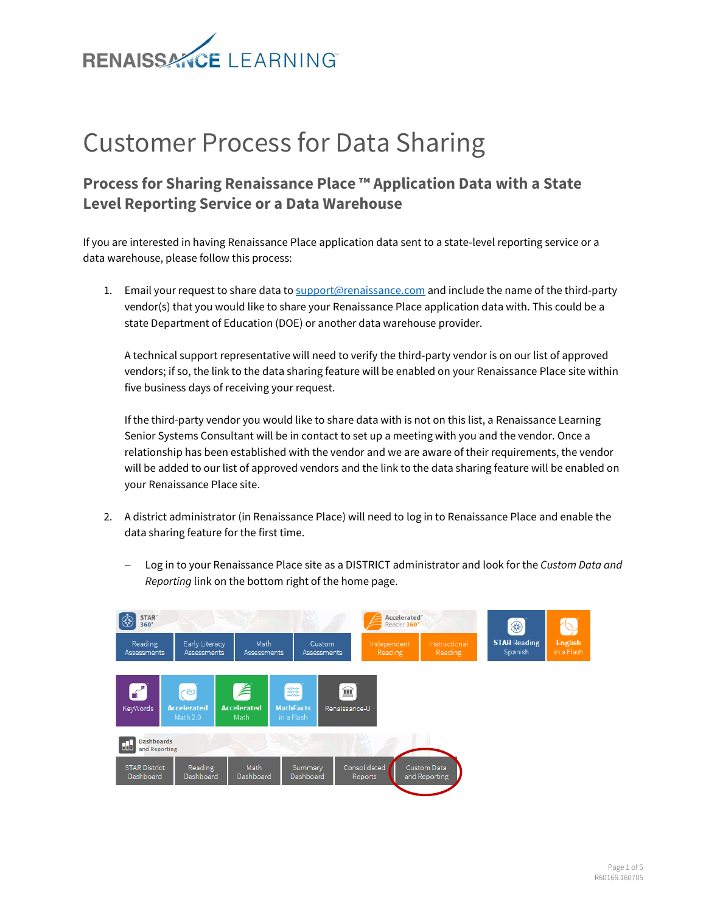

# Customer Process for Data Sharing

# **Process for Sharing Renaissance Place ™ Application Data with a State Level Reporting Service or a Data Warehouse**

If you are interested in having Renaissance Place application data sent to a state-level reporting service or a data warehouse, please follow this process:

1. Email your request to share data t[o support@renaissance.com](mailto:support@renaissance.com) and include the name of the third-party vendor(s) that you would like to share your Renaissance Place application data with. This could be a state Department of Education (DOE) or another data warehouse provider.

A technical support representative will need to verify the third-party vendor is on our list of approved vendors; if so, the link to the data sharing feature will be enabled on your Renaissance Place site within five business days of receiving your request.

If the third-party vendor you would like to share data with is not on this list, a Renaissance Learning Senior Systems Consultant will be in contact to set up a meeting with you and the vendor. Once a relationship has been established with the vendor and we are aware of their requirements, the vendor will be added to our list of approved vendors and the link to the data sharing feature will be enabled on your Renaissance Place site.

- 2. A district administrator (in Renaissance Place) will need to log in to Renaissance Place and enable the data sharing feature for the first time.
	- Log in to your Renaissance Place site as a DISTRICT administrator and look for the *Custom Data and Reporting* link on the bottom right of the home page.

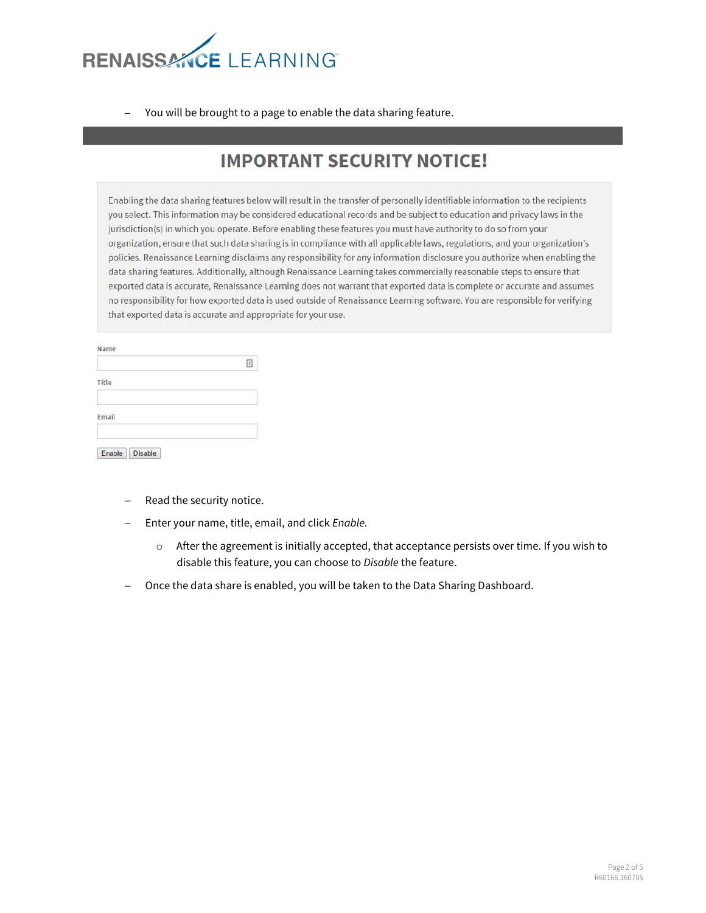

- You will be brought to a page to enable the data sharing feature.

# **IMPORTANT SECURITY NOTICE!**

Enabling the data sharing features below will result in the transfer of personally identifiable information to the recipients you select. This information may be considered educational records and be subject to education and privacy laws in the jurisdiction(s) in which you operate. Before enabling these features you must have authority to do so from your organization, ensure that such data sharing is in compliance with all applicable laws, regulations, and your organization's policies. Renaissance Learning disclaims any responsibility for any information disclosure you authorize when enabling the data sharing features. Additionally, although Renaissance Learning takes commercially reasonable steps to ensure that exported data is accurate, Renaissance Learning does not warrant that exported data is complete or accurate and assumes no responsibility for how exported data is used outside of Renaissance Learning software. You are responsible for verifying that exported data is accurate and appropriate for your use.

|       | 固 |
|-------|---|
| Title |   |
| Email |   |

- Read the security notice.
- Enter your name, title, email, and click *Enable.*
	- $\circ$  After the agreement is initially accepted, that acceptance persists over time. If you wish to disable this feature, you can choose to *Disable* the feature.
- Once the data share is enabled, you will be taken to the Data Sharing Dashboard.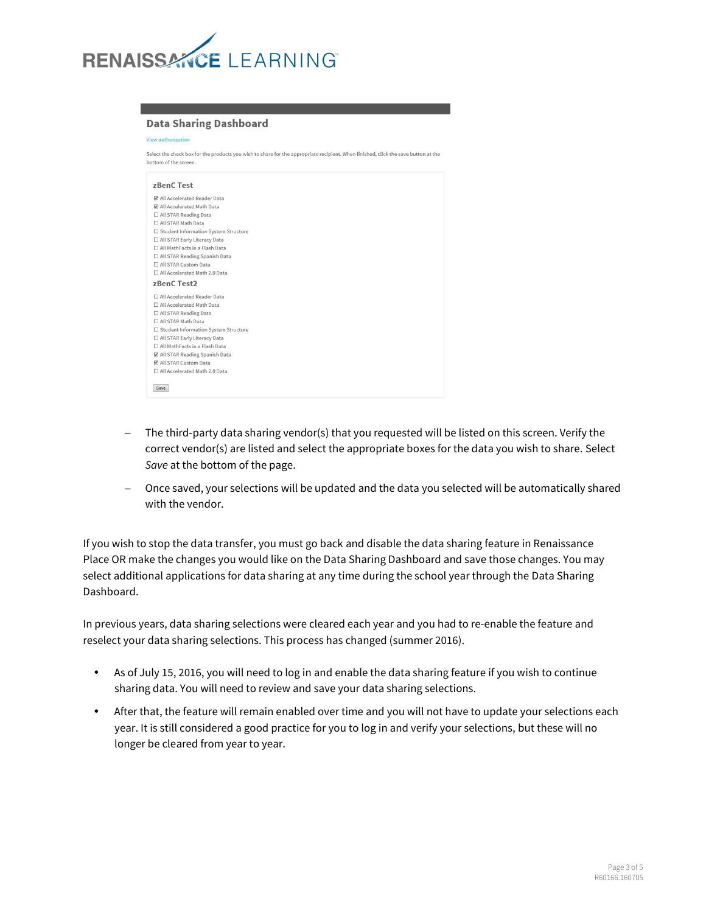

#### **Data Sharing Dashboard**

Select the check box for the products you wish to share for the appropriate recipient. When finished, click the save button at the bottom of the screen

| zBenC Test                             |  |
|----------------------------------------|--|
| All Accelerated Reader Data            |  |
| All Accelerated Math Data              |  |
| □ All STAR Reading Data                |  |
| □ All STAR Math Data                   |  |
| □ Student Information System Structure |  |
| □ All STAR Early Literacy Data         |  |
| □ All MathFacts in a Flash Data        |  |
| □ All STAR Reading Spanish Data        |  |
| All STAR Custom Data                   |  |
| All Accelerated Math 2.0 Data          |  |
| zBenC Test2                            |  |
| □ All Accelerated Reader Data          |  |
| □ All Accelerated Math Data            |  |
| □ All STAR Reading Data                |  |
| □ All STAR Math Data                   |  |
| □ Student Information System Structure |  |
| □ All STAR Early Literacy Data         |  |
| All MathFacts in a Flash Data          |  |
| ☑ All STAR Reading Spanish Data        |  |
| All STAR Custom Data                   |  |
|                                        |  |

- The third-party data sharing vendor(s) that you requested will be listed on this screen. Verify the correct vendor(s) are listed and select the appropriate boxes for the data you wish to share. Select *Save* at the bottom of the page.
- Once saved, your selections will be updated and the data you selected will be automatically shared with the vendor.

If you wish to stop the data transfer, you must go back and disable the data sharing feature in Renaissance Place OR make the changes you would like on the Data Sharing Dashboard and save those changes. You may select additional applications for data sharing at any time during the school year through the Data Sharing Dashboard.

In previous years, data sharing selections were cleared each year and you had to re-enable the feature and reselect your data sharing selections. This process has changed (summer 2016).

- As of July 15, 2016, you will need to log in and enable the data sharing feature if you wish to continue sharing data. You will need to review and save your data sharing selections.
- After that, the feature will remain enabled over time and you will not have to update your selections each year. It is still considered a good practice for you to log in and verify your selections, but these will no longer be cleared from year to year.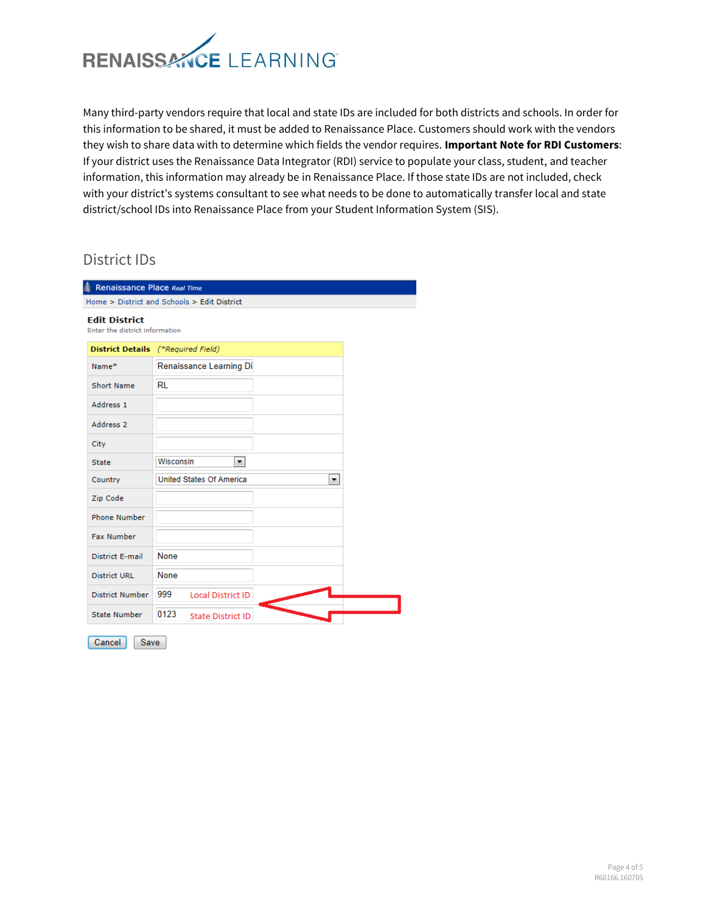

Many third-party vendors require that local and state IDs are included for both districts and schools. In order for this information to be shared, it must be added to Renaissance Place. Customers should work with the vendors they wish to share data with to determine which fields the vendor requires. **Important Note for RDI Customers**: If your district uses the Renaissance Data Integrator (RDI) service to populate your class, student, and teacher information, this information may already be in Renaissance Place. If those state IDs are not included, check with your district's systems consultant to see what needs to be done to automatically transfer local and state district/school IDs into Renaissance Place from your Student Information System (SIS).

### District IDs

| Renaissance Place Real Time                            |                                      |  |  |
|--------------------------------------------------------|--------------------------------------|--|--|
| Home > District and Schools > Edit District            |                                      |  |  |
| <b>Edit District</b><br>Enter the district information |                                      |  |  |
|                                                        | District Details (*Required Field)   |  |  |
| Name*                                                  | Renaissance Learning Di              |  |  |
| <b>Short Name</b>                                      | RL                                   |  |  |
| Address 1                                              |                                      |  |  |
| Address <sub>2</sub>                                   |                                      |  |  |
| City                                                   |                                      |  |  |
| <b>State</b>                                           | Wisconsin<br>▾                       |  |  |
| Country                                                | <b>United States Of America</b><br>▼ |  |  |
| Zip Code                                               |                                      |  |  |
| <b>Phone Number</b>                                    |                                      |  |  |
| <b>Fax Number</b>                                      |                                      |  |  |
| <b>District E-mail</b>                                 | <b>None</b>                          |  |  |
| <b>District URL</b>                                    | None                                 |  |  |
| District Number                                        | 999<br><b>Local District ID</b>      |  |  |
| <b>State Number</b>                                    | 0123<br><b>State District ID</b>     |  |  |
| Cancel<br>Save                                         |                                      |  |  |